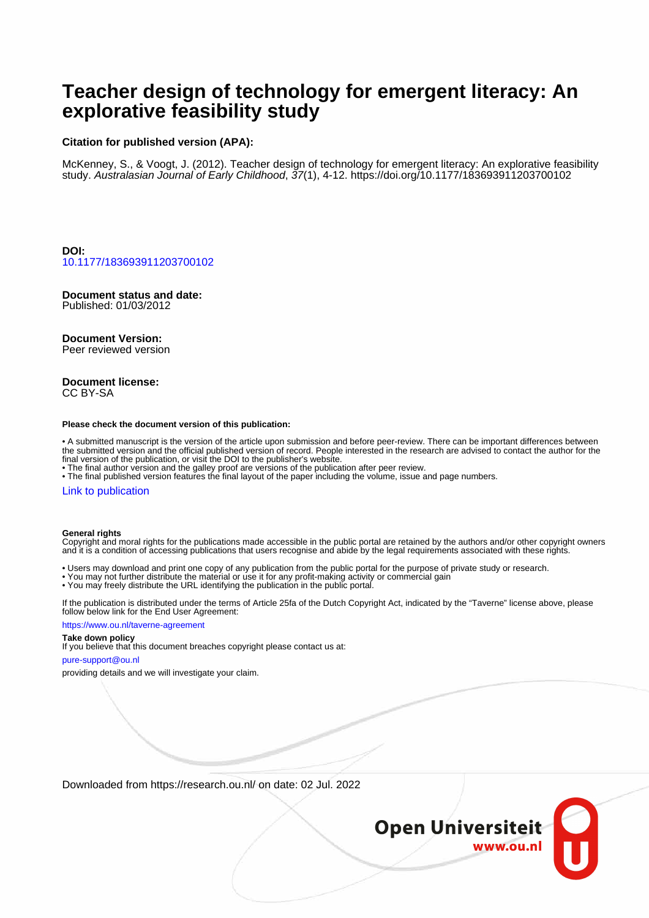# **Teacher design of technology for emergent literacy: An explorative feasibility study**

# **Citation for published version (APA):**

McKenney, S., & Voogt, J. (2012). Teacher design of technology for emergent literacy: An explorative feasibility study. Australasian Journal of Early Childhood, 37(1), 4-12. <https://doi.org/10.1177/183693911203700102>

**DOI:** [10.1177/183693911203700102](https://doi.org/10.1177/183693911203700102)

# **Document status and date:**

Published: 01/03/2012

#### **Document Version:**

Peer reviewed version

#### **Document license:** CC BY-SA

#### **Please check the document version of this publication:**

• A submitted manuscript is the version of the article upon submission and before peer-review. There can be important differences between the submitted version and the official published version of record. People interested in the research are advised to contact the author for the final version of the publication, or visit the DOI to the publisher's website.

• The final author version and the galley proof are versions of the publication after peer review.

• The final published version features the final layout of the paper including the volume, issue and page numbers.

#### [Link to publication](https://research.ou.nl/en/publications/be6b5e85-4ea2-4545-b1ec-3033eab4bbb8)

#### **General rights**

Copyright and moral rights for the publications made accessible in the public portal are retained by the authors and/or other copyright owners and it is a condition of accessing publications that users recognise and abide by the legal requirements associated with these rights.

- Users may download and print one copy of any publication from the public portal for the purpose of private study or research.
- You may not further distribute the material or use it for any profit-making activity or commercial gain
- You may freely distribute the URL identifying the publication in the public portal.

If the publication is distributed under the terms of Article 25fa of the Dutch Copyright Act, indicated by the "Taverne" license above, please follow below link for the End User Agreement:

#### https://www.ou.nl/taverne-agreement

#### **Take down policy**

If you believe that this document breaches copyright please contact us at:

#### pure-support@ou.nl

providing details and we will investigate your claim.

Downloaded from https://research.ou.nl/ on date: 02 Jul. 2022

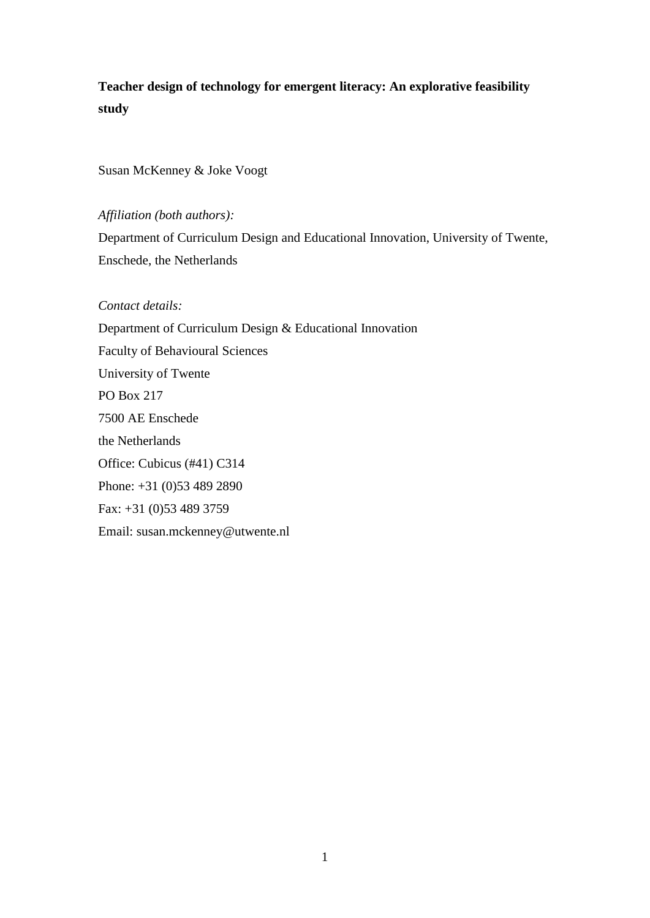**Teacher design of technology for emergent literacy: An explorative feasibility study**

Susan McKenney & Joke Voogt

*Affiliation (both authors):*

Department of Curriculum Design and Educational Innovation, University of Twente, Enschede, the Netherlands

*Contact details:* Department of Curriculum Design & Educational Innovation Faculty of Behavioural Sciences University of Twente PO Box 217 7500 AE Enschede the Netherlands Office: Cubicus (#41) C314 Phone: +31 (0)53 489 2890

Fax: +31 (0)53 489 3759

Email: susan.mckenney@utwente.nl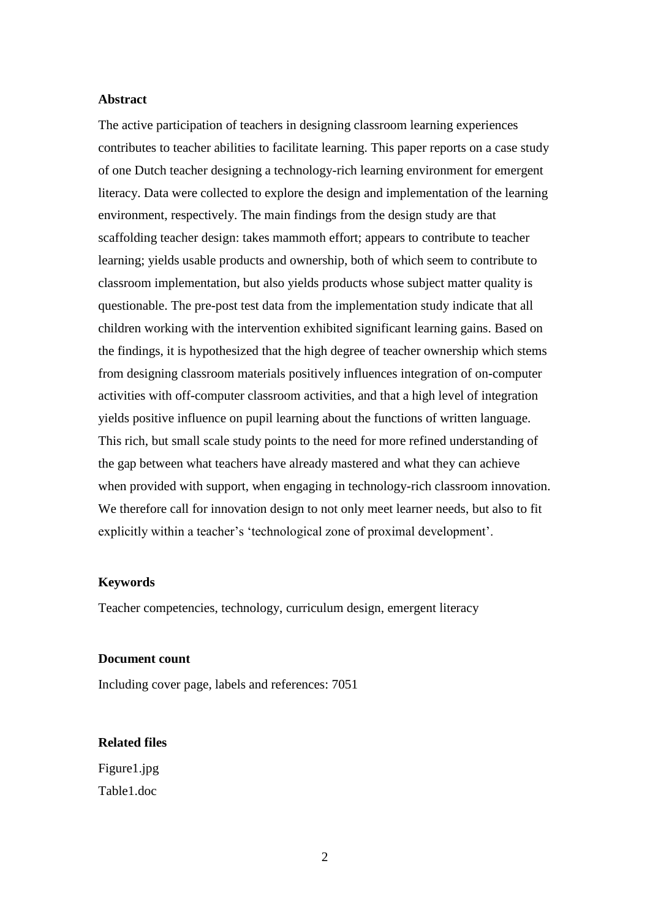### **Abstract**

The active participation of teachers in designing classroom learning experiences contributes to teacher abilities to facilitate learning. This paper reports on a case study of one Dutch teacher designing a technology-rich learning environment for emergent literacy. Data were collected to explore the design and implementation of the learning environment, respectively. The main findings from the design study are that scaffolding teacher design: takes mammoth effort; appears to contribute to teacher learning; yields usable products and ownership, both of which seem to contribute to classroom implementation, but also yields products whose subject matter quality is questionable. The pre-post test data from the implementation study indicate that all children working with the intervention exhibited significant learning gains. Based on the findings, it is hypothesized that the high degree of teacher ownership which stems from designing classroom materials positively influences integration of on-computer activities with off-computer classroom activities, and that a high level of integration yields positive influence on pupil learning about the functions of written language. This rich, but small scale study points to the need for more refined understanding of the gap between what teachers have already mastered and what they can achieve when provided with support, when engaging in technology-rich classroom innovation. We therefore call for innovation design to not only meet learner needs, but also to fit explicitly within a teacher's 'technological zone of proximal development'.

#### **Keywords**

Teacher competencies, technology, curriculum design, emergent literacy

#### **Document count**

Including cover page, labels and references: 7051

#### **Related files**

Figure1.jpg Table1.doc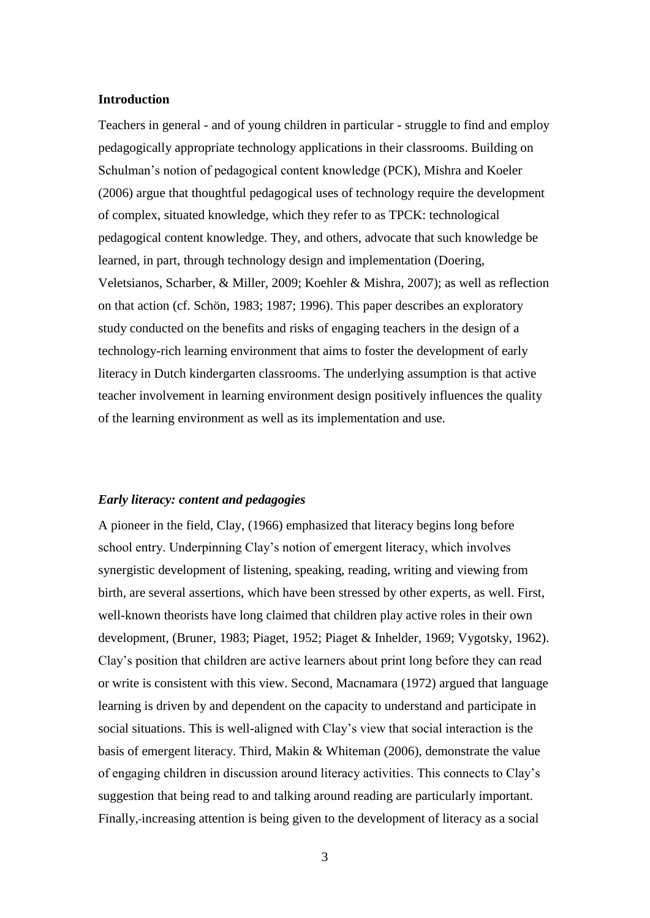### **Introduction**

Teachers in general - and of young children in particular - struggle to find and employ pedagogically appropriate technology applications in their classrooms. Building on Schulman's notion of pedagogical content knowledge (PCK), Mishra and Koeler (2006) argue that thoughtful pedagogical uses of technology require the development of complex, situated knowledge, which they refer to as TPCK: technological pedagogical content knowledge. They, and others, advocate that such knowledge be learned, in part, through technology design and implementation (Doering, Veletsianos, Scharber, & Miller, 2009; Koehler & Mishra, 2007); as well as reflection on that action (cf. Schön, 1983; 1987; 1996). This paper describes an exploratory study conducted on the benefits and risks of engaging teachers in the design of a technology-rich learning environment that aims to foster the development of early literacy in Dutch kindergarten classrooms. The underlying assumption is that active teacher involvement in learning environment design positively influences the quality of the learning environment as well as its implementation and use.

#### *Early literacy: content and pedagogies*

A pioneer in the field, Clay, (1966) emphasized that literacy begins long before school entry. Underpinning Clay"s notion of emergent literacy, which involves synergistic development of listening, speaking, reading, writing and viewing from birth, are several assertions, which have been stressed by other experts, as well. First, well-known theorists have long claimed that children play active roles in their own development, (Bruner, 1983; Piaget, 1952; Piaget & Inhelder, 1969; Vygotsky, 1962). Clay"s position that children are active learners about print long before they can read or write is consistent with this view. Second, Macnamara (1972) argued that language learning is driven by and dependent on the capacity to understand and participate in social situations. This is well-aligned with Clay"s view that social interaction is the basis of emergent literacy. Third, Makin & Whiteman (2006), demonstrate the value of engaging children in discussion around literacy activities. This connects to Clay"s suggestion that being read to and talking around reading are particularly important. Finally, increasing attention is being given to the development of literacy as a social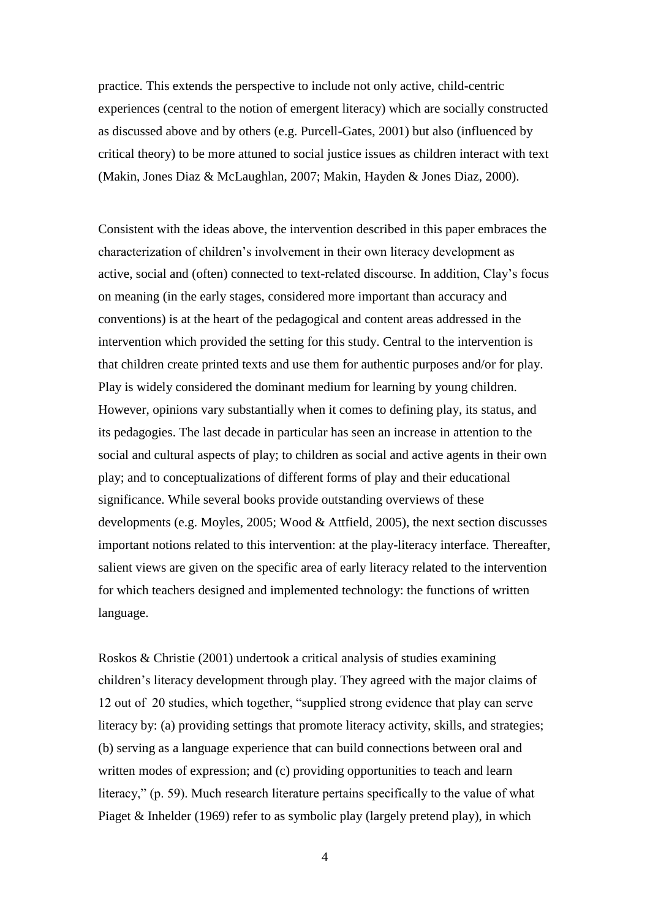practice. This extends the perspective to include not only active, child-centric experiences (central to the notion of emergent literacy) which are socially constructed as discussed above and by others (e.g. Purcell-Gates, 2001) but also (influenced by critical theory) to be more attuned to social justice issues as children interact with text (Makin, Jones Diaz & McLaughlan, 2007; Makin, Hayden & Jones Diaz, 2000).

Consistent with the ideas above, the intervention described in this paper embraces the characterization of children"s involvement in their own literacy development as active, social and (often) connected to text-related discourse. In addition, Clay"s focus on meaning (in the early stages, considered more important than accuracy and conventions) is at the heart of the pedagogical and content areas addressed in the intervention which provided the setting for this study. Central to the intervention is that children create printed texts and use them for authentic purposes and/or for play. Play is widely considered the dominant medium for learning by young children. However, opinions vary substantially when it comes to defining play, its status, and its pedagogies. The last decade in particular has seen an increase in attention to the social and cultural aspects of play; to children as social and active agents in their own play; and to conceptualizations of different forms of play and their educational significance. While several books provide outstanding overviews of these developments (e.g. Moyles, 2005; Wood & Attfield, 2005), the next section discusses important notions related to this intervention: at the play-literacy interface. Thereafter, salient views are given on the specific area of early literacy related to the intervention for which teachers designed and implemented technology: the functions of written language.

Roskos & Christie (2001) undertook a critical analysis of studies examining children"s literacy development through play. They agreed with the major claims of 12 out of 20 studies, which together, "supplied strong evidence that play can serve literacy by: (a) providing settings that promote literacy activity, skills, and strategies; (b) serving as a language experience that can build connections between oral and written modes of expression; and (c) providing opportunities to teach and learn literacy," (p. 59). Much research literature pertains specifically to the value of what Piaget & Inhelder (1969) refer to as symbolic play (largely pretend play), in which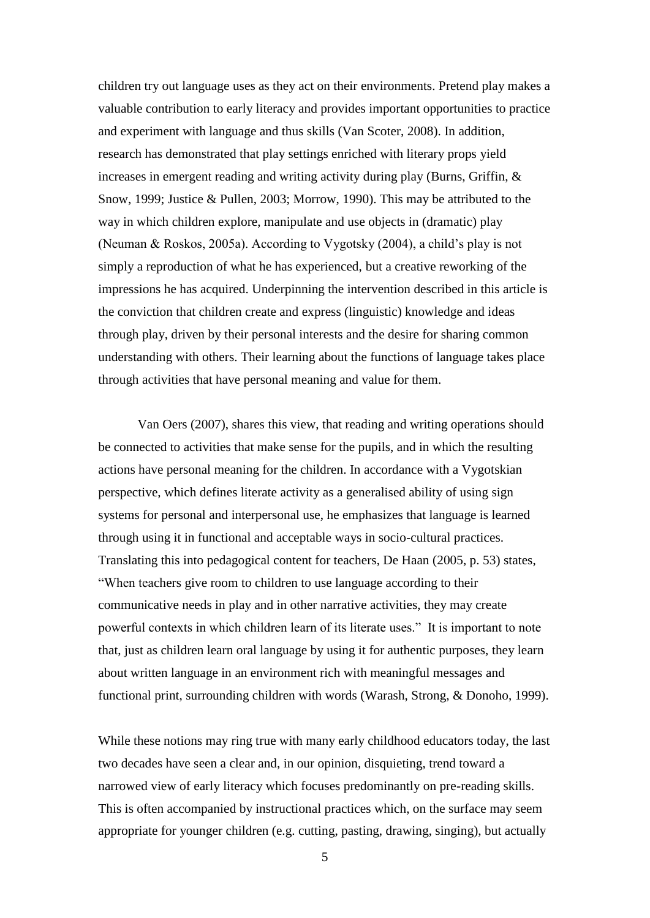children try out language uses as they act on their environments. Pretend play makes a valuable contribution to early literacy and provides important opportunities to practice and experiment with language and thus skills (Van Scoter, 2008). In addition, research has demonstrated that play settings enriched with literary props yield increases in emergent reading and writing activity during play (Burns, Griffin, & Snow, 1999; Justice & Pullen, 2003; Morrow, 1990). This may be attributed to the way in which children explore, manipulate and use objects in (dramatic) play (Neuman & Roskos, 2005a). According to Vygotsky (2004), a child"s play is not simply a reproduction of what he has experienced, but a creative reworking of the impressions he has acquired. Underpinning the intervention described in this article is the conviction that children create and express (linguistic) knowledge and ideas through play, driven by their personal interests and the desire for sharing common understanding with others. Their learning about the functions of language takes place through activities that have personal meaning and value for them.

Van Oers (2007), shares this view, that reading and writing operations should be connected to activities that make sense for the pupils, and in which the resulting actions have personal meaning for the children. In accordance with a Vygotskian perspective, which defines literate activity as a generalised ability of using sign systems for personal and interpersonal use, he emphasizes that language is learned through using it in functional and acceptable ways in socio-cultural practices. Translating this into pedagogical content for teachers, De Haan (2005, p. 53) states, "When teachers give room to children to use language according to their communicative needs in play and in other narrative activities, they may create powerful contexts in which children learn of its literate uses." It is important to note that, just as children learn oral language by using it for authentic purposes, they learn about written language in an environment rich with meaningful messages and functional print, surrounding children with words (Warash, Strong, & Donoho, 1999).

While these notions may ring true with many early childhood educators today, the last two decades have seen a clear and, in our opinion, disquieting, trend toward a narrowed view of early literacy which focuses predominantly on pre-reading skills. This is often accompanied by instructional practices which, on the surface may seem appropriate for younger children (e.g. cutting, pasting, drawing, singing), but actually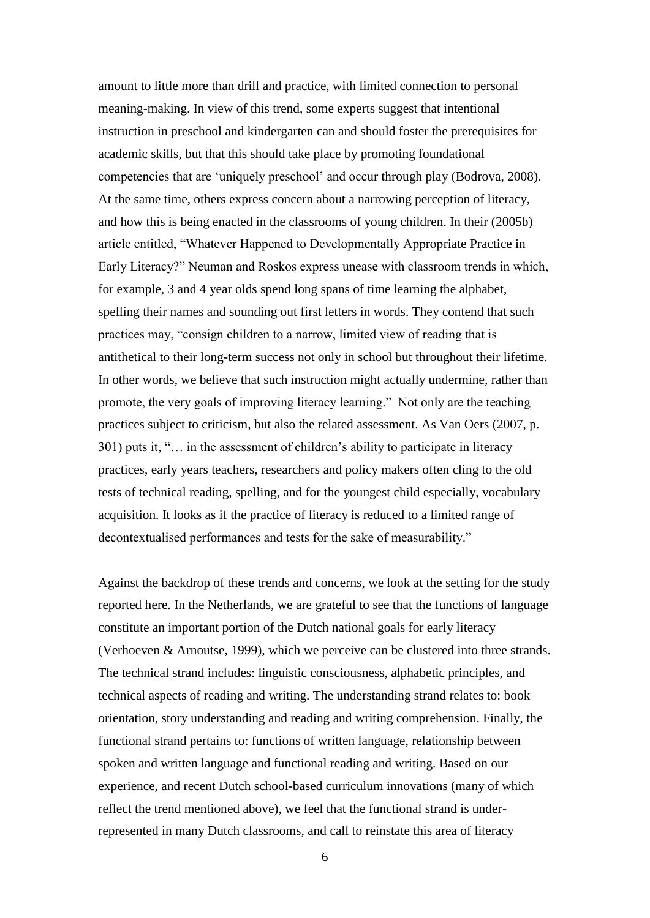amount to little more than drill and practice, with limited connection to personal meaning-making. In view of this trend, some experts suggest that intentional instruction in preschool and kindergarten can and should foster the prerequisites for academic skills, but that this should take place by promoting foundational competencies that are "uniquely preschool" and occur through play (Bodrova, 2008). At the same time, others express concern about a narrowing perception of literacy, and how this is being enacted in the classrooms of young children. In their (2005b) article entitled, "Whatever Happened to Developmentally Appropriate Practice in Early Literacy?" Neuman and Roskos express unease with classroom trends in which, for example, 3 and 4 year olds spend long spans of time learning the alphabet, spelling their names and sounding out first letters in words. They contend that such practices may, "consign children to a narrow, limited view of reading that is antithetical to their long-term success not only in school but throughout their lifetime. In other words, we believe that such instruction might actually undermine, rather than promote, the very goals of improving literacy learning." Not only are the teaching practices subject to criticism, but also the related assessment. As Van Oers (2007, p. 301) puts it, "… in the assessment of children"s ability to participate in literacy practices, early years teachers, researchers and policy makers often cling to the old tests of technical reading, spelling, and for the youngest child especially, vocabulary acquisition. It looks as if the practice of literacy is reduced to a limited range of decontextualised performances and tests for the sake of measurability."

Against the backdrop of these trends and concerns, we look at the setting for the study reported here. In the Netherlands, we are grateful to see that the functions of language constitute an important portion of the Dutch national goals for early literacy (Verhoeven & Arnoutse, 1999), which we perceive can be clustered into three strands. The technical strand includes: linguistic consciousness, alphabetic principles, and technical aspects of reading and writing. The understanding strand relates to: book orientation, story understanding and reading and writing comprehension. Finally, the functional strand pertains to: functions of written language, relationship between spoken and written language and functional reading and writing. Based on our experience, and recent Dutch school-based curriculum innovations (many of which reflect the trend mentioned above), we feel that the functional strand is underrepresented in many Dutch classrooms, and call to reinstate this area of literacy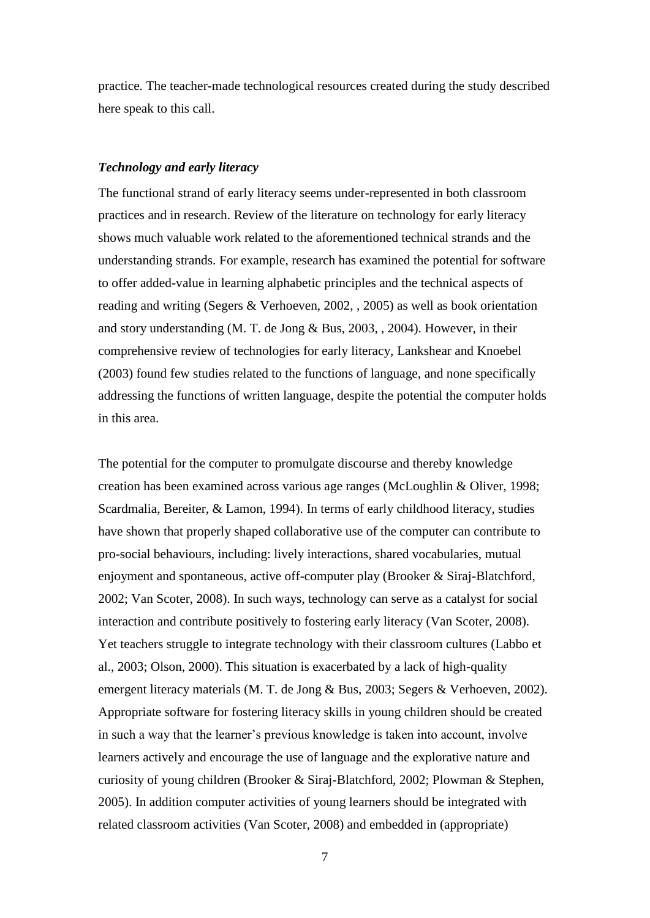practice. The teacher-made technological resources created during the study described here speak to this call.

### *Technology and early literacy*

The functional strand of early literacy seems under-represented in both classroom practices and in research. Review of the literature on technology for early literacy shows much valuable work related to the aforementioned technical strands and the understanding strands. For example, research has examined the potential for software to offer added-value in learning alphabetic principles and the technical aspects of reading and writing (Segers & Verhoeven, 2002, , 2005) as well as book orientation and story understanding (M. T. de Jong & Bus, 2003, , 2004). However, in their comprehensive review of technologies for early literacy, Lankshear and Knoebel (2003) found few studies related to the functions of language, and none specifically addressing the functions of written language, despite the potential the computer holds in this area.

The potential for the computer to promulgate discourse and thereby knowledge creation has been examined across various age ranges (McLoughlin & Oliver, 1998; Scardmalia, Bereiter, & Lamon, 1994). In terms of early childhood literacy, studies have shown that properly shaped collaborative use of the computer can contribute to pro-social behaviours, including: lively interactions, shared vocabularies, mutual enjoyment and spontaneous, active off-computer play (Brooker & Siraj-Blatchford, 2002; Van Scoter, 2008). In such ways, technology can serve as a catalyst for social interaction and contribute positively to fostering early literacy (Van Scoter, 2008). Yet teachers struggle to integrate technology with their classroom cultures (Labbo et al., 2003; Olson, 2000). This situation is exacerbated by a lack of high-quality emergent literacy materials (M. T. de Jong & Bus, 2003; Segers & Verhoeven, 2002). Appropriate software for fostering literacy skills in young children should be created in such a way that the learner"s previous knowledge is taken into account, involve learners actively and encourage the use of language and the explorative nature and curiosity of young children (Brooker & Siraj-Blatchford, 2002; Plowman & Stephen, 2005). In addition computer activities of young learners should be integrated with related classroom activities (Van Scoter, 2008) and embedded in (appropriate)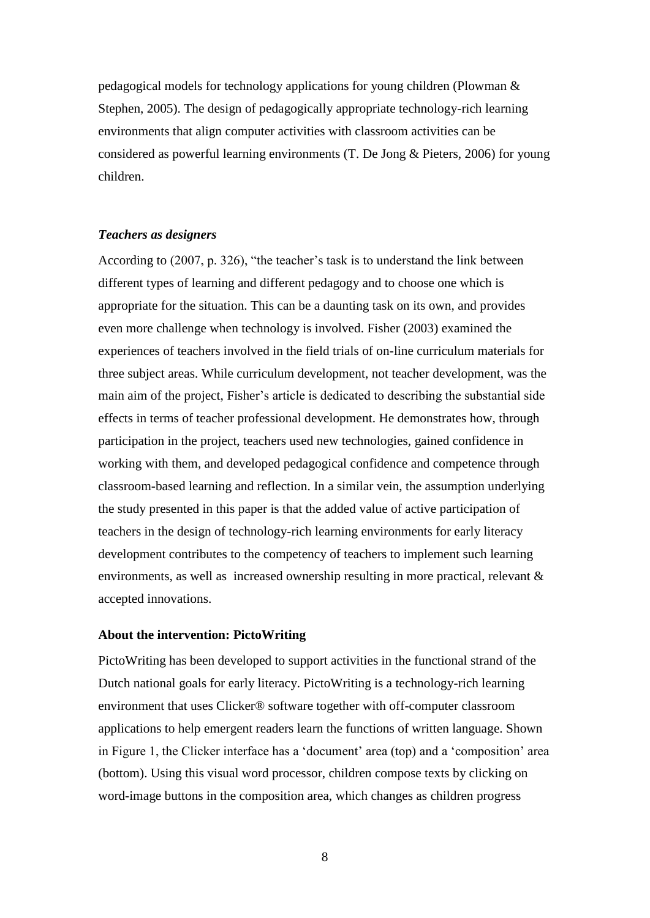pedagogical models for technology applications for young children (Plowman & Stephen, 2005). The design of pedagogically appropriate technology-rich learning environments that align computer activities with classroom activities can be considered as powerful learning environments (T. De Jong & Pieters, 2006) for young children.

# *Teachers as designers*

According to (2007, p. 326), "the teacher"s task is to understand the link between different types of learning and different pedagogy and to choose one which is appropriate for the situation. This can be a daunting task on its own, and provides even more challenge when technology is involved. Fisher (2003) examined the experiences of teachers involved in the field trials of on-line curriculum materials for three subject areas. While curriculum development, not teacher development, was the main aim of the project, Fisher"s article is dedicated to describing the substantial side effects in terms of teacher professional development. He demonstrates how, through participation in the project, teachers used new technologies, gained confidence in working with them, and developed pedagogical confidence and competence through classroom-based learning and reflection. In a similar vein, the assumption underlying the study presented in this paper is that the added value of active participation of teachers in the design of technology-rich learning environments for early literacy development contributes to the competency of teachers to implement such learning environments, as well as increased ownership resulting in more practical, relevant & accepted innovations.

## **About the intervention: PictoWriting**

PictoWriting has been developed to support activities in the functional strand of the Dutch national goals for early literacy. PictoWriting is a technology-rich learning environment that uses Clicker® software together with off-computer classroom applications to help emergent readers learn the functions of written language. Shown in Figure 1, the Clicker interface has a "document" area (top) and a "composition" area (bottom). Using this visual word processor, children compose texts by clicking on word-image buttons in the composition area, which changes as children progress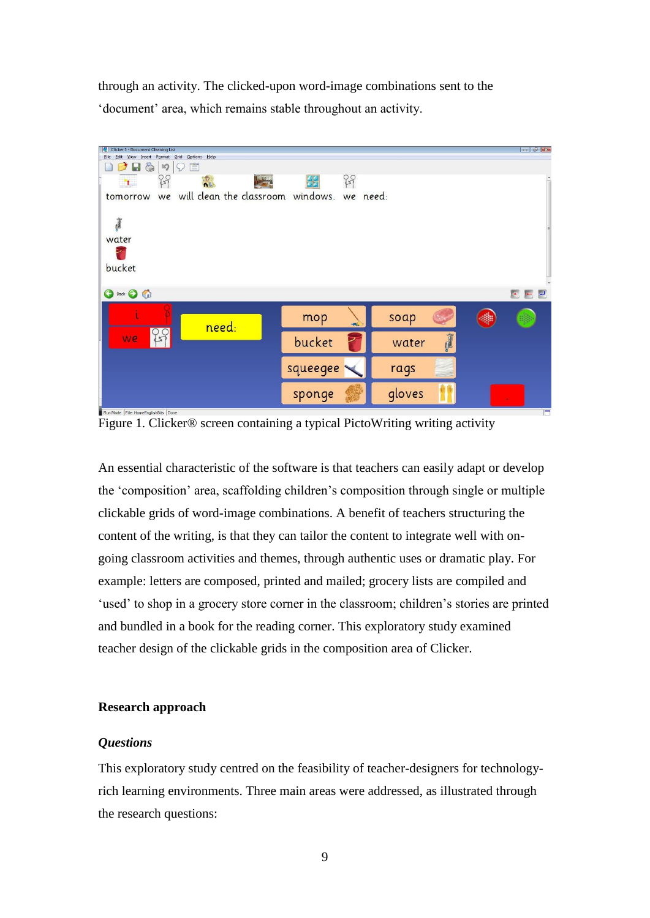through an activity. The clicked-upon word-image combinations sent to the 'document' area, which remains stable throughout an activity.



Figure 1. Clicker® screen containing a typical PictoWriting writing activity

An essential characteristic of the software is that teachers can easily adapt or develop the "composition" area, scaffolding children"s composition through single or multiple clickable grids of word-image combinations. A benefit of teachers structuring the content of the writing, is that they can tailor the content to integrate well with ongoing classroom activities and themes, through authentic uses or dramatic play. For example: letters are composed, printed and mailed; grocery lists are compiled and 'used' to shop in a grocery store corner in the classroom; children's stories are printed and bundled in a book for the reading corner. This exploratory study examined teacher design of the clickable grids in the composition area of Clicker.

### **Research approach**

#### *Questions*

This exploratory study centred on the feasibility of teacher-designers for technologyrich learning environments. Three main areas were addressed, as illustrated through the research questions: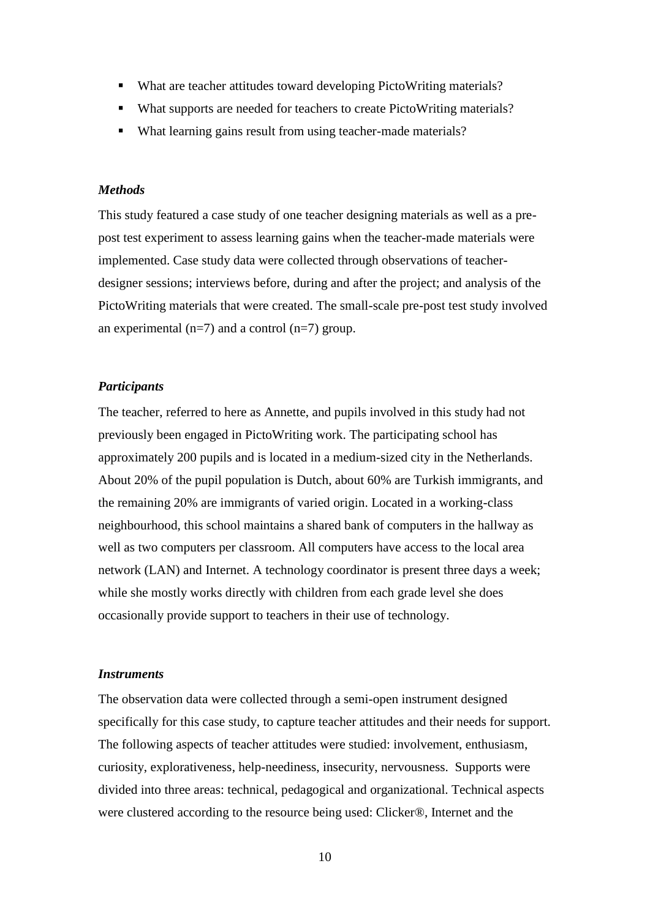- What are teacher attitudes toward developing PictoWriting materials?
- What supports are needed for teachers to create PictoWriting materials?
- What learning gains result from using teacher-made materials?

#### *Methods*

This study featured a case study of one teacher designing materials as well as a prepost test experiment to assess learning gains when the teacher-made materials were implemented. Case study data were collected through observations of teacherdesigner sessions; interviews before, during and after the project; and analysis of the PictoWriting materials that were created. The small-scale pre-post test study involved an experimental  $(n=7)$  and a control  $(n=7)$  group.

### *Participants*

The teacher, referred to here as Annette, and pupils involved in this study had not previously been engaged in PictoWriting work. The participating school has approximately 200 pupils and is located in a medium-sized city in the Netherlands. About 20% of the pupil population is Dutch, about 60% are Turkish immigrants, and the remaining 20% are immigrants of varied origin. Located in a working-class neighbourhood, this school maintains a shared bank of computers in the hallway as well as two computers per classroom. All computers have access to the local area network (LAN) and Internet. A technology coordinator is present three days a week; while she mostly works directly with children from each grade level she does occasionally provide support to teachers in their use of technology.

### *Instruments*

The observation data were collected through a semi-open instrument designed specifically for this case study, to capture teacher attitudes and their needs for support. The following aspects of teacher attitudes were studied: involvement, enthusiasm, curiosity, explorativeness, help-neediness, insecurity, nervousness. Supports were divided into three areas: technical, pedagogical and organizational. Technical aspects were clustered according to the resource being used: Clicker®, Internet and the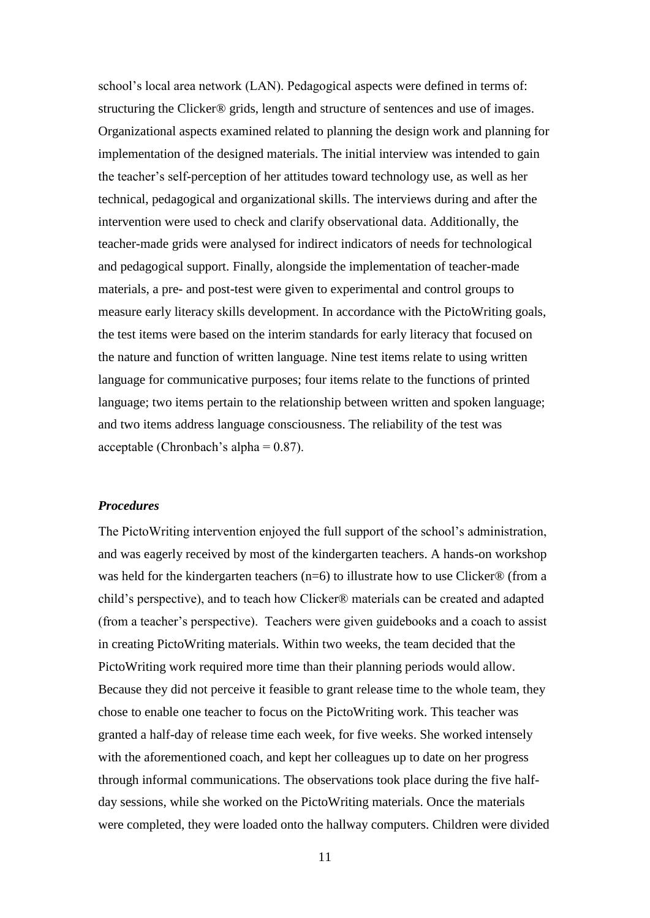school"s local area network (LAN). Pedagogical aspects were defined in terms of: structuring the Clicker® grids, length and structure of sentences and use of images. Organizational aspects examined related to planning the design work and planning for implementation of the designed materials. The initial interview was intended to gain the teacher"s self-perception of her attitudes toward technology use, as well as her technical, pedagogical and organizational skills. The interviews during and after the intervention were used to check and clarify observational data. Additionally, the teacher-made grids were analysed for indirect indicators of needs for technological and pedagogical support. Finally, alongside the implementation of teacher-made materials, a pre- and post-test were given to experimental and control groups to measure early literacy skills development. In accordance with the PictoWriting goals, the test items were based on the interim standards for early literacy that focused on the nature and function of written language. Nine test items relate to using written language for communicative purposes; four items relate to the functions of printed language; two items pertain to the relationship between written and spoken language; and two items address language consciousness. The reliability of the test was acceptable (Chronbach's alpha  $= 0.87$ ).

# *Procedures*

The PictoWriting intervention enjoyed the full support of the school"s administration, and was eagerly received by most of the kindergarten teachers. A hands-on workshop was held for the kindergarten teachers (n=6) to illustrate how to use Clicker® (from a child"s perspective), and to teach how Clicker® materials can be created and adapted (from a teacher"s perspective). Teachers were given guidebooks and a coach to assist in creating PictoWriting materials. Within two weeks, the team decided that the PictoWriting work required more time than their planning periods would allow. Because they did not perceive it feasible to grant release time to the whole team, they chose to enable one teacher to focus on the PictoWriting work. This teacher was granted a half-day of release time each week, for five weeks. She worked intensely with the aforementioned coach, and kept her colleagues up to date on her progress through informal communications. The observations took place during the five halfday sessions, while she worked on the PictoWriting materials. Once the materials were completed, they were loaded onto the hallway computers. Children were divided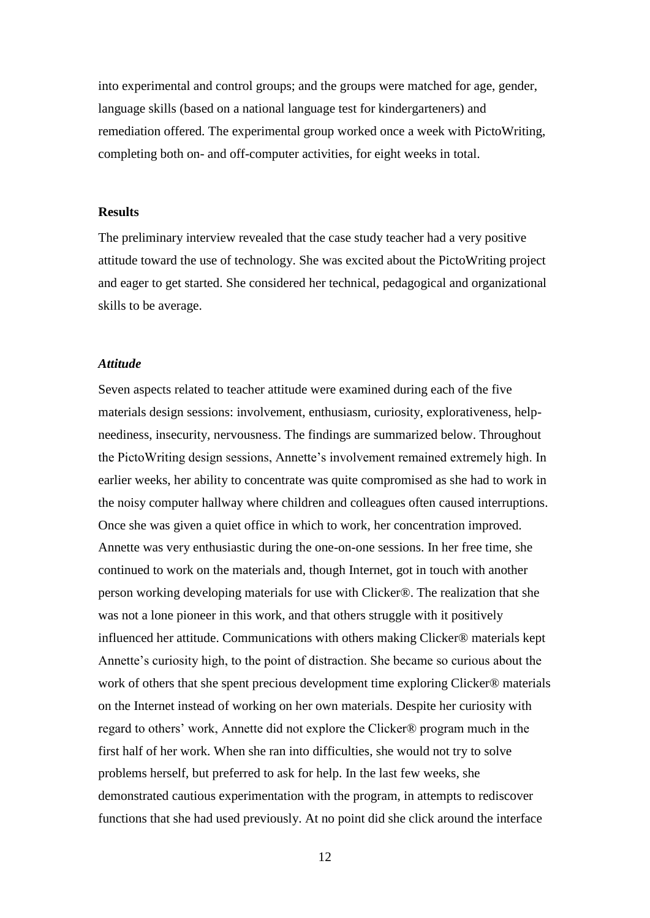into experimental and control groups; and the groups were matched for age, gender, language skills (based on a national language test for kindergarteners) and remediation offered. The experimental group worked once a week with PictoWriting, completing both on- and off-computer activities, for eight weeks in total.

# **Results**

The preliminary interview revealed that the case study teacher had a very positive attitude toward the use of technology. She was excited about the PictoWriting project and eager to get started. She considered her technical, pedagogical and organizational skills to be average.

# *Attitude*

Seven aspects related to teacher attitude were examined during each of the five materials design sessions: involvement, enthusiasm, curiosity, explorativeness, helpneediness, insecurity, nervousness. The findings are summarized below. Throughout the PictoWriting design sessions, Annette"s involvement remained extremely high. In earlier weeks, her ability to concentrate was quite compromised as she had to work in the noisy computer hallway where children and colleagues often caused interruptions. Once she was given a quiet office in which to work, her concentration improved. Annette was very enthusiastic during the one-on-one sessions. In her free time, she continued to work on the materials and, though Internet, got in touch with another person working developing materials for use with Clicker®. The realization that she was not a lone pioneer in this work, and that others struggle with it positively influenced her attitude. Communications with others making Clicker® materials kept Annette's curiosity high, to the point of distraction. She became so curious about the work of others that she spent precious development time exploring Clicker® materials on the Internet instead of working on her own materials. Despite her curiosity with regard to others" work, Annette did not explore the Clicker® program much in the first half of her work. When she ran into difficulties, she would not try to solve problems herself, but preferred to ask for help. In the last few weeks, she demonstrated cautious experimentation with the program, in attempts to rediscover functions that she had used previously. At no point did she click around the interface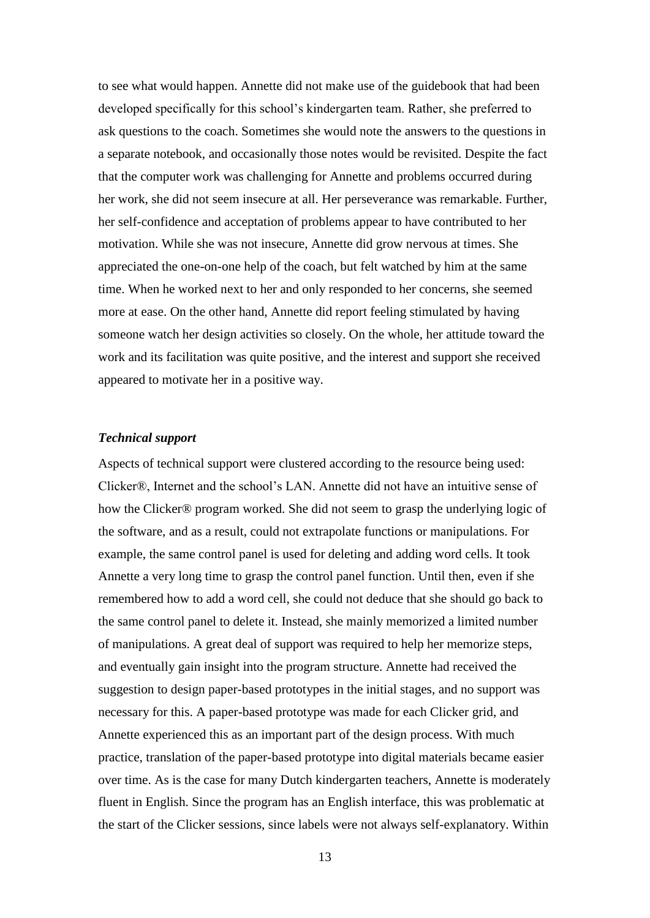to see what would happen. Annette did not make use of the guidebook that had been developed specifically for this school"s kindergarten team. Rather, she preferred to ask questions to the coach. Sometimes she would note the answers to the questions in a separate notebook, and occasionally those notes would be revisited. Despite the fact that the computer work was challenging for Annette and problems occurred during her work, she did not seem insecure at all. Her perseverance was remarkable. Further, her self-confidence and acceptation of problems appear to have contributed to her motivation. While she was not insecure, Annette did grow nervous at times. She appreciated the one-on-one help of the coach, but felt watched by him at the same time. When he worked next to her and only responded to her concerns, she seemed more at ease. On the other hand, Annette did report feeling stimulated by having someone watch her design activities so closely. On the whole, her attitude toward the work and its facilitation was quite positive, and the interest and support she received appeared to motivate her in a positive way.

### *Technical support*

Aspects of technical support were clustered according to the resource being used: Clicker®, Internet and the school"s LAN. Annette did not have an intuitive sense of how the Clicker® program worked. She did not seem to grasp the underlying logic of the software, and as a result, could not extrapolate functions or manipulations. For example, the same control panel is used for deleting and adding word cells. It took Annette a very long time to grasp the control panel function. Until then, even if she remembered how to add a word cell, she could not deduce that she should go back to the same control panel to delete it. Instead, she mainly memorized a limited number of manipulations. A great deal of support was required to help her memorize steps, and eventually gain insight into the program structure. Annette had received the suggestion to design paper-based prototypes in the initial stages, and no support was necessary for this. A paper-based prototype was made for each Clicker grid, and Annette experienced this as an important part of the design process. With much practice, translation of the paper-based prototype into digital materials became easier over time. As is the case for many Dutch kindergarten teachers, Annette is moderately fluent in English. Since the program has an English interface, this was problematic at the start of the Clicker sessions, since labels were not always self-explanatory. Within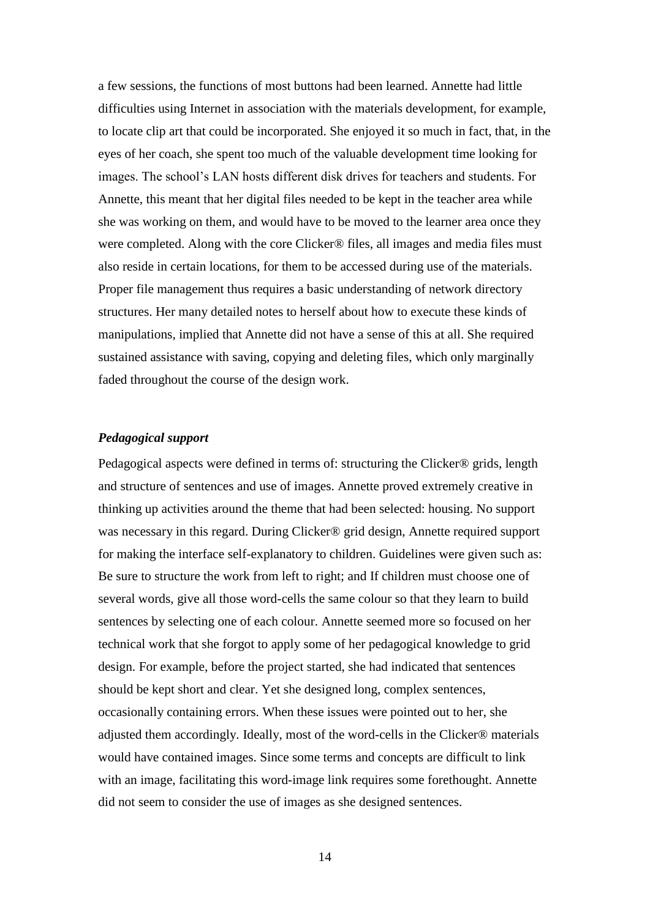a few sessions, the functions of most buttons had been learned. Annette had little difficulties using Internet in association with the materials development, for example, to locate clip art that could be incorporated. She enjoyed it so much in fact, that, in the eyes of her coach, she spent too much of the valuable development time looking for images. The school"s LAN hosts different disk drives for teachers and students. For Annette, this meant that her digital files needed to be kept in the teacher area while she was working on them, and would have to be moved to the learner area once they were completed. Along with the core Clicker® files, all images and media files must also reside in certain locations, for them to be accessed during use of the materials. Proper file management thus requires a basic understanding of network directory structures. Her many detailed notes to herself about how to execute these kinds of manipulations, implied that Annette did not have a sense of this at all. She required sustained assistance with saving, copying and deleting files, which only marginally faded throughout the course of the design work.

### *Pedagogical support*

Pedagogical aspects were defined in terms of: structuring the Clicker® grids, length and structure of sentences and use of images. Annette proved extremely creative in thinking up activities around the theme that had been selected: housing. No support was necessary in this regard. During Clicker® grid design, Annette required support for making the interface self-explanatory to children. Guidelines were given such as: Be sure to structure the work from left to right; and If children must choose one of several words, give all those word-cells the same colour so that they learn to build sentences by selecting one of each colour. Annette seemed more so focused on her technical work that she forgot to apply some of her pedagogical knowledge to grid design. For example, before the project started, she had indicated that sentences should be kept short and clear. Yet she designed long, complex sentences, occasionally containing errors. When these issues were pointed out to her, she adjusted them accordingly. Ideally, most of the word-cells in the Clicker® materials would have contained images. Since some terms and concepts are difficult to link with an image, facilitating this word-image link requires some forethought. Annette did not seem to consider the use of images as she designed sentences.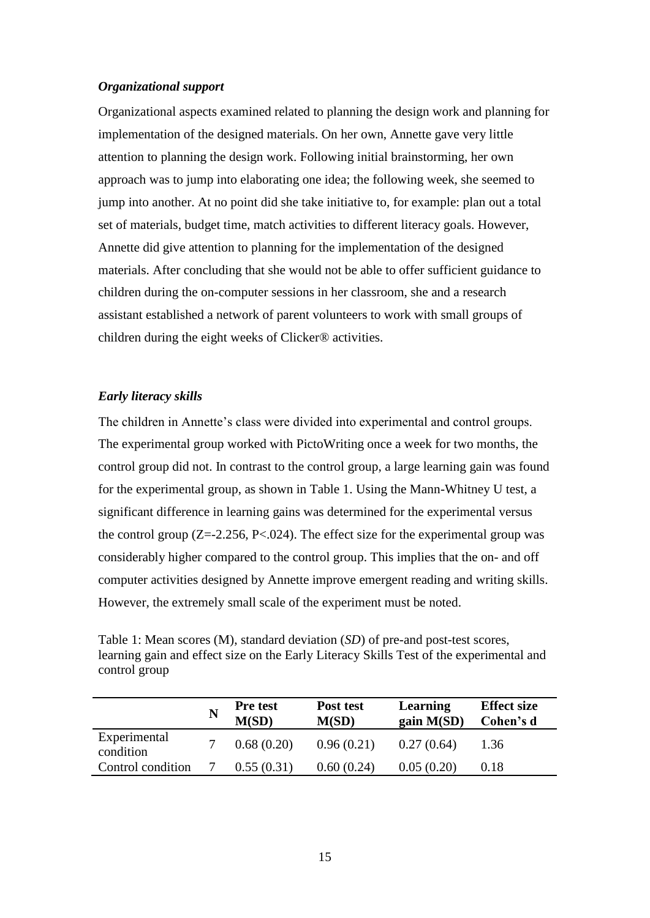# *Organizational support*

Organizational aspects examined related to planning the design work and planning for implementation of the designed materials. On her own, Annette gave very little attention to planning the design work. Following initial brainstorming, her own approach was to jump into elaborating one idea; the following week, she seemed to jump into another. At no point did she take initiative to, for example: plan out a total set of materials, budget time, match activities to different literacy goals. However, Annette did give attention to planning for the implementation of the designed materials. After concluding that she would not be able to offer sufficient guidance to children during the on-computer sessions in her classroom, she and a research assistant established a network of parent volunteers to work with small groups of children during the eight weeks of Clicker® activities.

### *Early literacy skills*

The children in Annette's class were divided into experimental and control groups. The experimental group worked with PictoWriting once a week for two months, the control group did not. In contrast to the control group, a large learning gain was found for the experimental group, as shown in Table 1. Using the Mann-Whitney U test, a significant difference in learning gains was determined for the experimental versus the control group  $(Z = -2.256, P < .024)$ . The effect size for the experimental group was considerably higher compared to the control group. This implies that the on- and off computer activities designed by Annette improve emergent reading and writing skills. However, the extremely small scale of the experiment must be noted.

Table 1: Mean scores (M), standard deviation (*SD*) of pre-and post-test scores, learning gain and effect size on the Early Literacy Skills Test of the experimental and control group

|                           | Pre test<br>M(SD) | Post test<br>M(SD) | Learning<br>gain M(SD) | <b>Effect size</b><br>Cohen's d |
|---------------------------|-------------------|--------------------|------------------------|---------------------------------|
| Experimental<br>condition | 0.68(0.20)        | 0.96(0.21)         | 0.27(0.64)             | 1.36                            |
| Control condition         | 0.55(0.31)        | 0.60(0.24)         | 0.05(0.20)             | 0.18                            |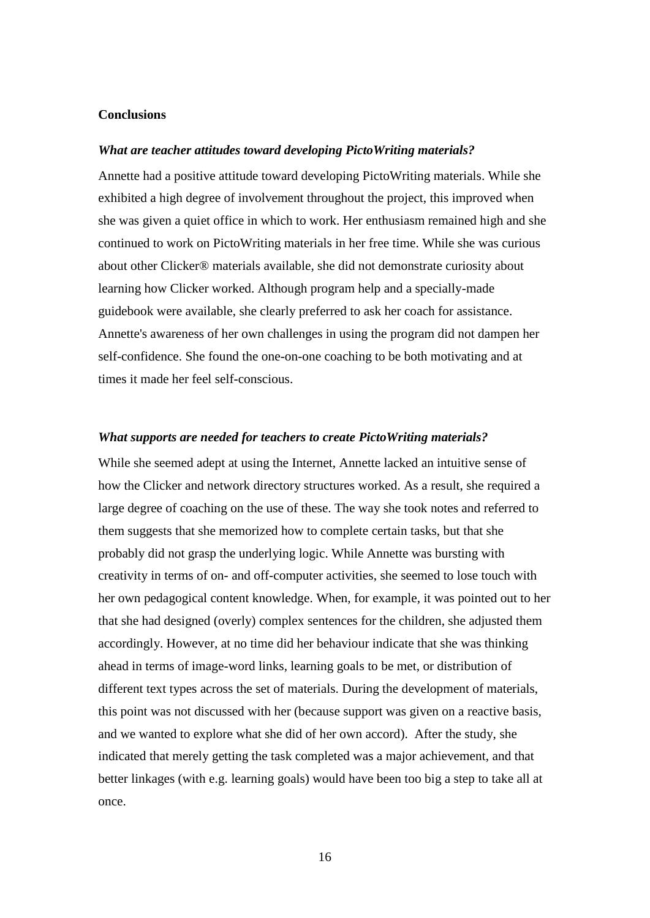# **Conclusions**

#### *What are teacher attitudes toward developing PictoWriting materials?*

Annette had a positive attitude toward developing PictoWriting materials. While she exhibited a high degree of involvement throughout the project, this improved when she was given a quiet office in which to work. Her enthusiasm remained high and she continued to work on PictoWriting materials in her free time. While she was curious about other Clicker® materials available, she did not demonstrate curiosity about learning how Clicker worked. Although program help and a specially-made guidebook were available, she clearly preferred to ask her coach for assistance. Annette's awareness of her own challenges in using the program did not dampen her self-confidence. She found the one-on-one coaching to be both motivating and at times it made her feel self-conscious.

#### *What supports are needed for teachers to create PictoWriting materials?*

While she seemed adept at using the Internet, Annette lacked an intuitive sense of how the Clicker and network directory structures worked. As a result, she required a large degree of coaching on the use of these. The way she took notes and referred to them suggests that she memorized how to complete certain tasks, but that she probably did not grasp the underlying logic. While Annette was bursting with creativity in terms of on- and off-computer activities, she seemed to lose touch with her own pedagogical content knowledge. When, for example, it was pointed out to her that she had designed (overly) complex sentences for the children, she adjusted them accordingly. However, at no time did her behaviour indicate that she was thinking ahead in terms of image-word links, learning goals to be met, or distribution of different text types across the set of materials. During the development of materials, this point was not discussed with her (because support was given on a reactive basis, and we wanted to explore what she did of her own accord). After the study, she indicated that merely getting the task completed was a major achievement, and that better linkages (with e.g. learning goals) would have been too big a step to take all at once.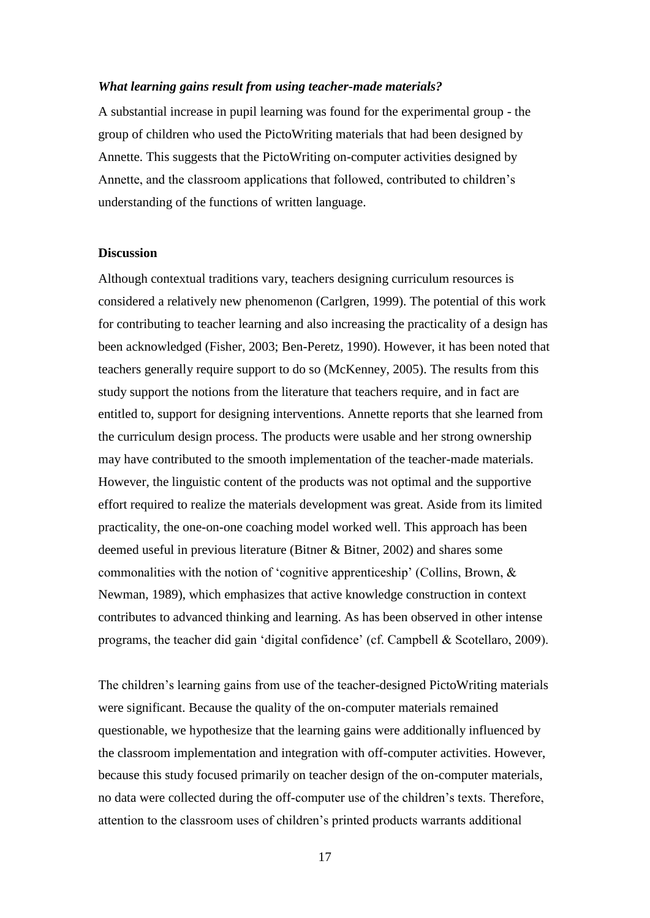#### *What learning gains result from using teacher-made materials?*

A substantial increase in pupil learning was found for the experimental group - the group of children who used the PictoWriting materials that had been designed by Annette. This suggests that the PictoWriting on-computer activities designed by Annette, and the classroom applications that followed, contributed to children"s understanding of the functions of written language.

#### **Discussion**

Although contextual traditions vary, teachers designing curriculum resources is considered a relatively new phenomenon (Carlgren, 1999). The potential of this work for contributing to teacher learning and also increasing the practicality of a design has been acknowledged (Fisher, 2003; Ben-Peretz, 1990). However, it has been noted that teachers generally require support to do so (McKenney, 2005). The results from this study support the notions from the literature that teachers require, and in fact are entitled to, support for designing interventions. Annette reports that she learned from the curriculum design process. The products were usable and her strong ownership may have contributed to the smooth implementation of the teacher-made materials. However, the linguistic content of the products was not optimal and the supportive effort required to realize the materials development was great. Aside from its limited practicality, the one-on-one coaching model worked well. This approach has been deemed useful in previous literature (Bitner & Bitner, 2002) and shares some commonalities with the notion of "cognitive apprenticeship" (Collins, Brown, & Newman, 1989), which emphasizes that active knowledge construction in context contributes to advanced thinking and learning. As has been observed in other intense programs, the teacher did gain "digital confidence" (cf. Campbell & Scotellaro, 2009).

The children"s learning gains from use of the teacher-designed PictoWriting materials were significant. Because the quality of the on-computer materials remained questionable, we hypothesize that the learning gains were additionally influenced by the classroom implementation and integration with off-computer activities. However, because this study focused primarily on teacher design of the on-computer materials, no data were collected during the off-computer use of the children"s texts. Therefore, attention to the classroom uses of children"s printed products warrants additional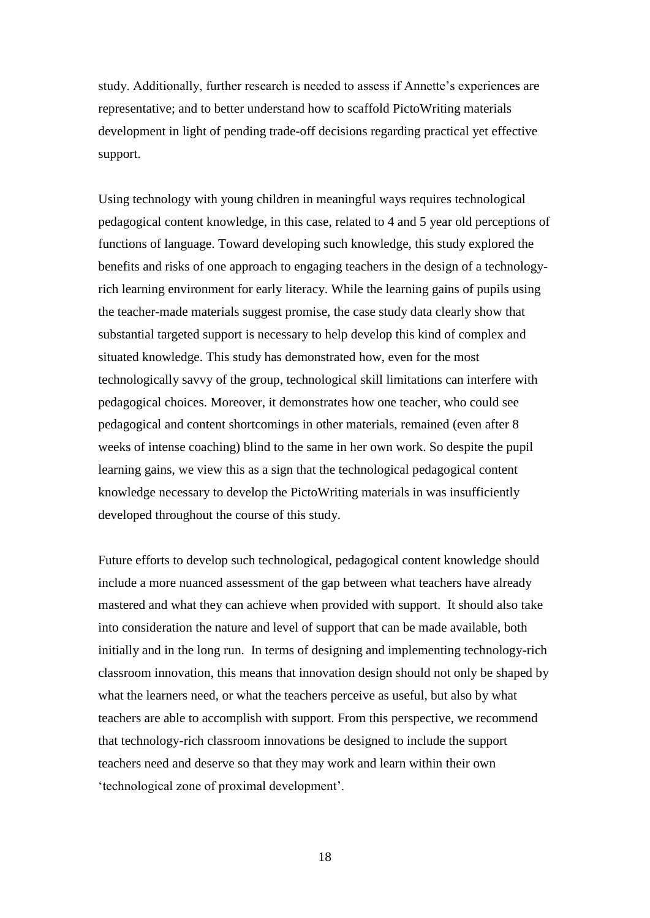study. Additionally, further research is needed to assess if Annette"s experiences are representative; and to better understand how to scaffold PictoWriting materials development in light of pending trade-off decisions regarding practical yet effective support.

Using technology with young children in meaningful ways requires technological pedagogical content knowledge, in this case, related to 4 and 5 year old perceptions of functions of language. Toward developing such knowledge, this study explored the benefits and risks of one approach to engaging teachers in the design of a technologyrich learning environment for early literacy. While the learning gains of pupils using the teacher-made materials suggest promise, the case study data clearly show that substantial targeted support is necessary to help develop this kind of complex and situated knowledge. This study has demonstrated how, even for the most technologically savvy of the group, technological skill limitations can interfere with pedagogical choices. Moreover, it demonstrates how one teacher, who could see pedagogical and content shortcomings in other materials, remained (even after 8 weeks of intense coaching) blind to the same in her own work. So despite the pupil learning gains, we view this as a sign that the technological pedagogical content knowledge necessary to develop the PictoWriting materials in was insufficiently developed throughout the course of this study.

Future efforts to develop such technological, pedagogical content knowledge should include a more nuanced assessment of the gap between what teachers have already mastered and what they can achieve when provided with support. It should also take into consideration the nature and level of support that can be made available, both initially and in the long run. In terms of designing and implementing technology-rich classroom innovation, this means that innovation design should not only be shaped by what the learners need, or what the teachers perceive as useful, but also by what teachers are able to accomplish with support. From this perspective, we recommend that technology-rich classroom innovations be designed to include the support teachers need and deserve so that they may work and learn within their own "technological zone of proximal development".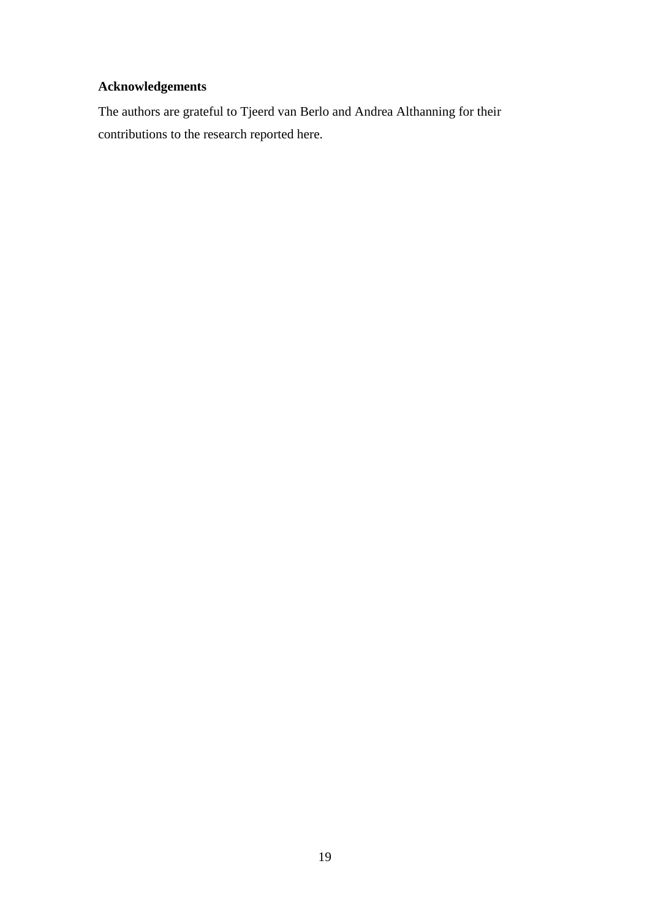# **Acknowledgements**

The authors are grateful to Tjeerd van Berlo and Andrea Althanning for their contributions to the research reported here.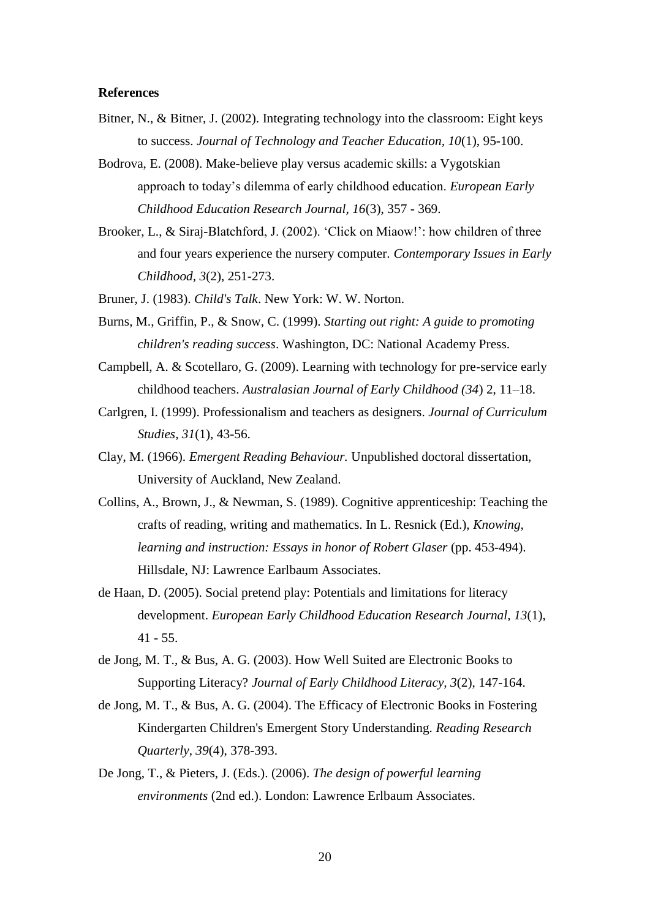#### **References**

- Bitner, N., & Bitner, J. (2002). Integrating technology into the classroom: Eight keys to success. *Journal of Technology and Teacher Education, 10*(1), 95-100.
- Bodrova, E. (2008). Make-believe play versus academic skills: a Vygotskian approach to today"s dilemma of early childhood education. *European Early Childhood Education Research Journal, 16*(3), 357 - 369.
- Brooker, L., & Siraj-Blatchford, J. (2002). 'Click on Miaow!': how children of three and four years experience the nursery computer. *Contemporary Issues in Early Childhood, 3*(2), 251-273.
- Bruner, J. (1983). *Child's Talk*. New York: W. W. Norton.
- Burns, M., Griffin, P., & Snow, C. (1999). *Starting out right: A guide to promoting children's reading success*. Washington, DC: National Academy Press.
- Campbell, A. & Scotellaro, G. (2009). Learning with technology for pre-service early childhood teachers. *Australasian Journal of Early Childhood (34*) 2, 11–18.
- Carlgren, I. (1999). Professionalism and teachers as designers. *Journal of Curriculum Studies, 31*(1), 43-56.
- Clay, M. (1966). *Emergent Reading Behaviour.* Unpublished doctoral dissertation, University of Auckland, New Zealand.
- Collins, A., Brown, J., & Newman, S. (1989). Cognitive apprenticeship: Teaching the crafts of reading, writing and mathematics. In L. Resnick (Ed.), *Knowing, learning and instruction: Essays in honor of Robert Glaser* (pp. 453-494). Hillsdale, NJ: Lawrence Earlbaum Associates.
- de Haan, D. (2005). Social pretend play: Potentials and limitations for literacy development. *European Early Childhood Education Research Journal, 13*(1), 41 - 55.
- de Jong, M. T., & Bus, A. G. (2003). How Well Suited are Electronic Books to Supporting Literacy? *Journal of Early Childhood Literacy, 3*(2), 147-164.
- de Jong, M. T., & Bus, A. G. (2004). The Efficacy of Electronic Books in Fostering Kindergarten Children's Emergent Story Understanding. *Reading Research Quarterly, 39*(4), 378-393.
- De Jong, T., & Pieters, J. (Eds.). (2006). *The design of powerful learning environments* (2nd ed.). London: Lawrence Erlbaum Associates.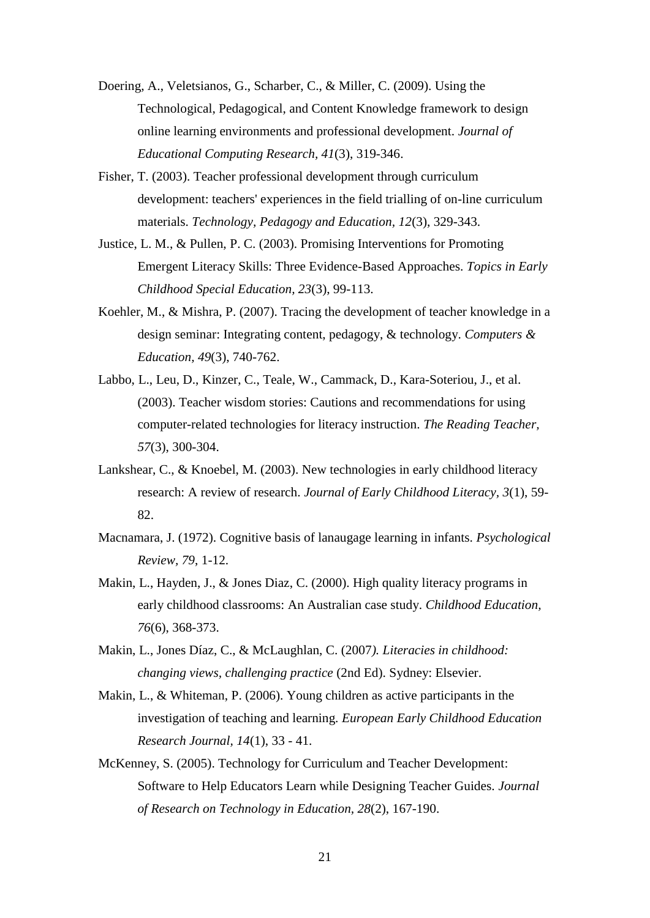- Doering, A., Veletsianos, G., Scharber, C., & Miller, C. (2009). Using the Technological, Pedagogical, and Content Knowledge framework to design online learning environments and professional development. *Journal of Educational Computing Research, 41*(3), 319-346.
- Fisher, T. (2003). Teacher professional development through curriculum development: teachers' experiences in the field trialling of on-line curriculum materials. *Technology, Pedagogy and Education, 12*(3), 329-343.
- Justice, L. M., & Pullen, P. C. (2003). Promising Interventions for Promoting Emergent Literacy Skills: Three Evidence-Based Approaches. *Topics in Early Childhood Special Education, 23*(3), 99-113.
- Koehler, M., & Mishra, P. (2007). Tracing the development of teacher knowledge in a design seminar: Integrating content, pedagogy, & technology. *Computers & Education, 49*(3), 740-762.
- Labbo, L., Leu, D., Kinzer, C., Teale, W., Cammack, D., Kara-Soteriou, J., et al. (2003). Teacher wisdom stories: Cautions and recommendations for using computer-related technologies for literacy instruction. *The Reading Teacher, 57*(3), 300-304.
- Lankshear, C., & Knoebel, M. (2003). New technologies in early childhood literacy research: A review of research. *Journal of Early Childhood Literacy, 3*(1), 59- 82.
- Macnamara, J. (1972). Cognitive basis of lanaugage learning in infants. *Psychological Review, 79*, 1-12.
- Makin, L., Hayden, J., & Jones Diaz, C. (2000). High quality literacy programs in early childhood classrooms: An Australian case study. *Childhood Education, 76*(6), 368-373.
- Makin, L., Jones Díaz, C., & McLaughlan, C. (2007*). Literacies in childhood: changing views, challenging practice* (2nd Ed). Sydney: Elsevier.
- Makin, L., & Whiteman, P. (2006). Young children as active participants in the investigation of teaching and learning. *European Early Childhood Education Research Journal, 14*(1), 33 - 41.
- McKenney, S. (2005). Technology for Curriculum and Teacher Development: Software to Help Educators Learn while Designing Teacher Guides. *Journal of Research on Technology in Education, 28*(2), 167-190.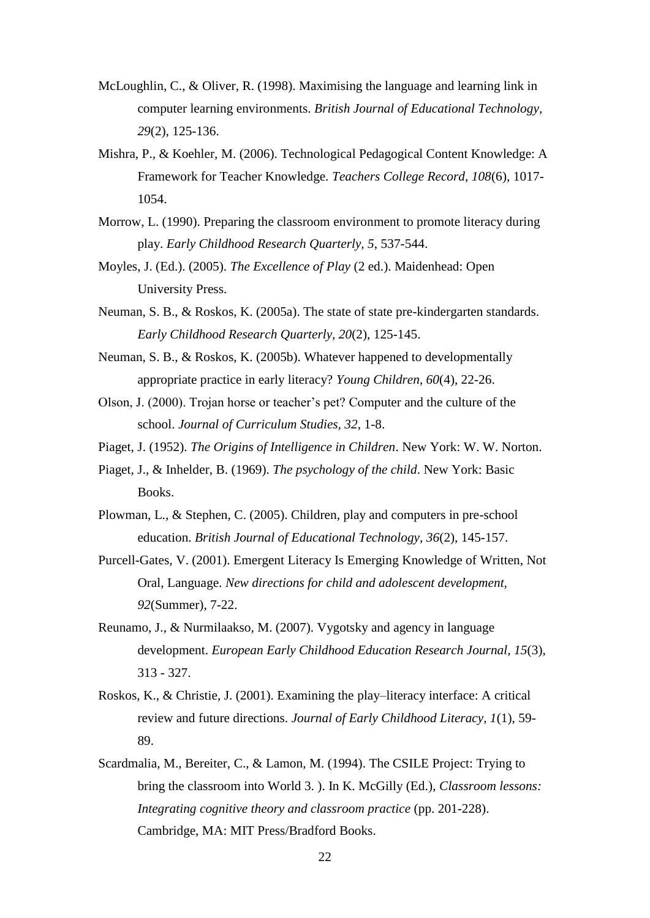- McLoughlin, C., & Oliver, R. (1998). Maximising the language and learning link in computer learning environments. *British Journal of Educational Technology, 29*(2), 125-136.
- Mishra, P., & Koehler, M. (2006). Technological Pedagogical Content Knowledge: A Framework for Teacher Knowledge. *Teachers College Record, 108*(6), 1017- 1054.
- Morrow, L. (1990). Preparing the classroom environment to promote literacy during play. *Early Childhood Research Quarterly, 5*, 537-544.
- Moyles, J. (Ed.). (2005). *The Excellence of Play* (2 ed.). Maidenhead: Open University Press.
- Neuman, S. B., & Roskos, K. (2005a). The state of state pre-kindergarten standards. *Early Childhood Research Quarterly, 20*(2), 125-145.
- Neuman, S. B., & Roskos, K. (2005b). Whatever happened to developmentally appropriate practice in early literacy? *Young Children, 60*(4), 22-26.
- Olson, J. (2000). Trojan horse or teacher"s pet? Computer and the culture of the school. *Journal of Curriculum Studies, 32*, 1-8.
- Piaget, J. (1952). *The Origins of Intelligence in Children*. New York: W. W. Norton.
- Piaget, J., & Inhelder, B. (1969). *The psychology of the child*. New York: Basic Books.
- Plowman, L., & Stephen, C. (2005). Children, play and computers in pre-school education. *British Journal of Educational Technology, 36*(2), 145-157.
- Purcell-Gates, V. (2001). Emergent Literacy Is Emerging Knowledge of Written, Not Oral, Language. *New directions for child and adolescent development, 92*(Summer), 7-22.
- Reunamo, J., & Nurmilaakso, M. (2007). Vygotsky and agency in language development. *European Early Childhood Education Research Journal, 15*(3), 313 - 327.
- Roskos, K., & Christie, J. (2001). Examining the play–literacy interface: A critical review and future directions. *Journal of Early Childhood Literacy, 1*(1), 59- 89.
- Scardmalia, M., Bereiter, C., & Lamon, M. (1994). The CSILE Project: Trying to bring the classroom into World 3. ). In K. McGilly (Ed.), *Classroom lessons: Integrating cognitive theory and classroom practice* (pp. 201-228). Cambridge, MA: MIT Press/Bradford Books.